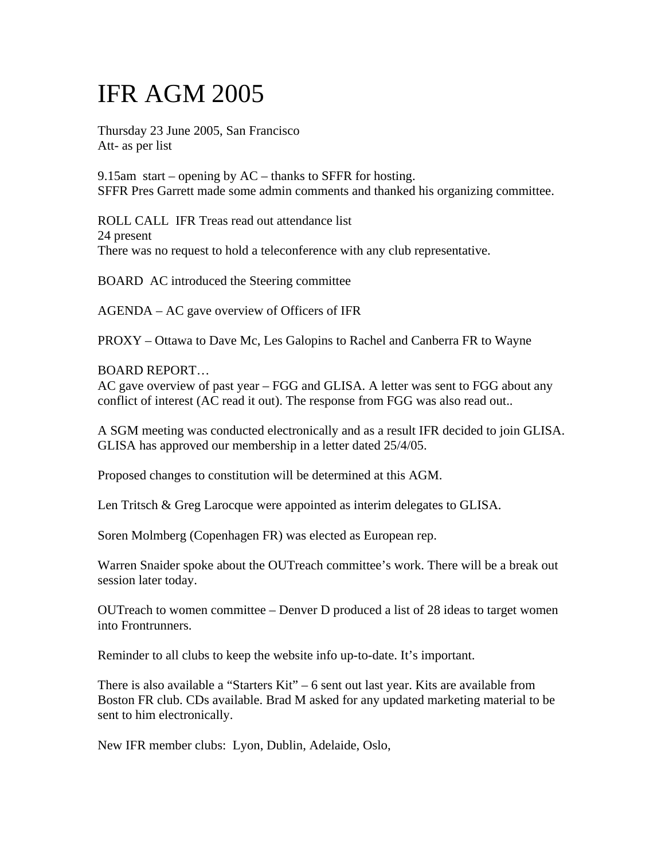# IFR AGM 2005

Thursday 23 June 2005, San Francisco Att- as per list

9.15am start – opening by  $AC$  – thanks to SFFR for hosting. SFFR Pres Garrett made some admin comments and thanked his organizing committee.

ROLL CALL IFR Treas read out attendance list 24 present There was no request to hold a teleconference with any club representative.

BOARD AC introduced the Steering committee

AGENDA – AC gave overview of Officers of IFR

PROXY – Ottawa to Dave Mc, Les Galopins to Rachel and Canberra FR to Wayne

#### BOARD REPORT…

AC gave overview of past year – FGG and GLISA. A letter was sent to FGG about any conflict of interest (AC read it out). The response from FGG was also read out..

A SGM meeting was conducted electronically and as a result IFR decided to join GLISA. GLISA has approved our membership in a letter dated 25/4/05.

Proposed changes to constitution will be determined at this AGM.

Len Tritsch & Greg Larocque were appointed as interim delegates to GLISA.

Soren Molmberg (Copenhagen FR) was elected as European rep.

Warren Snaider spoke about the OUTreach committee's work. There will be a break out session later today.

OUTreach to women committee – Denver D produced a list of 28 ideas to target women into Frontrunners.

Reminder to all clubs to keep the website info up-to-date. It's important.

There is also available a "Starters Kit" – 6 sent out last year. Kits are available from Boston FR club. CDs available. Brad M asked for any updated marketing material to be sent to him electronically.

New IFR member clubs: Lyon, Dublin, Adelaide, Oslo,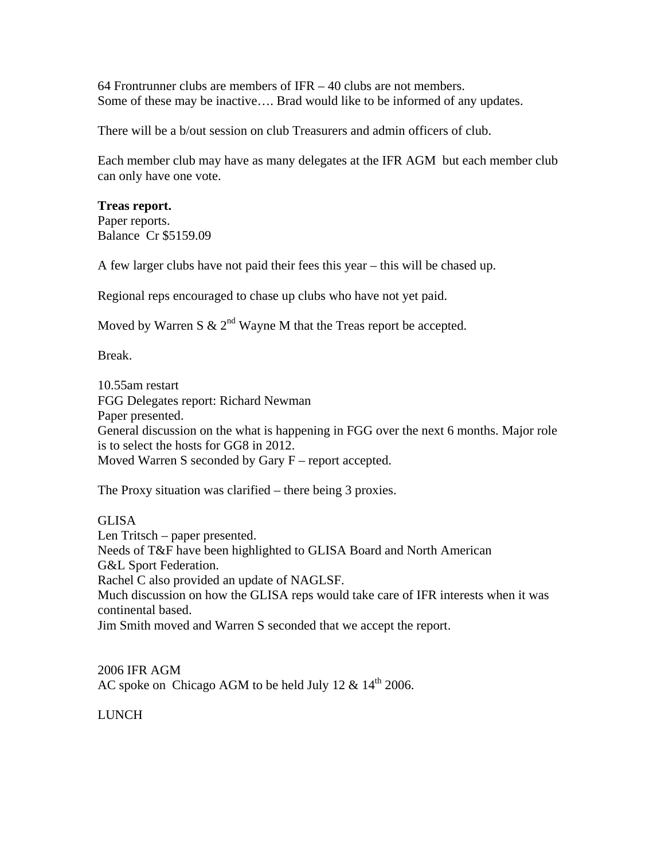64 Frontrunner clubs are members of IFR – 40 clubs are not members. Some of these may be inactive…. Brad would like to be informed of any updates.

There will be a b/out session on club Treasurers and admin officers of club.

Each member club may have as many delegates at the IFR AGM but each member club can only have one vote.

#### **Treas report.**

Paper reports. Balance Cr \$5159.09

A few larger clubs have not paid their fees this year – this will be chased up.

Regional reps encouraged to chase up clubs who have not yet paid.

Moved by Warren S  $\& 2<sup>nd</sup>$  Wayne M that the Treas report be accepted.

Break.

10.55am restart FGG Delegates report: Richard Newman Paper presented. General discussion on the what is happening in FGG over the next 6 months. Major role is to select the hosts for GG8 in 2012. Moved Warren S seconded by Gary F – report accepted.

The Proxy situation was clarified – there being 3 proxies.

GLISA Len Tritsch – paper presented. Needs of T&F have been highlighted to GLISA Board and North American G&L Sport Federation. Rachel C also provided an update of NAGLSF. Much discussion on how the GLISA reps would take care of IFR interests when it was continental based. Jim Smith moved and Warren S seconded that we accept the report.

2006 IFR AGM AC spoke on Chicago AGM to be held July 12  $\&$  14<sup>th</sup> 2006.

LUNCH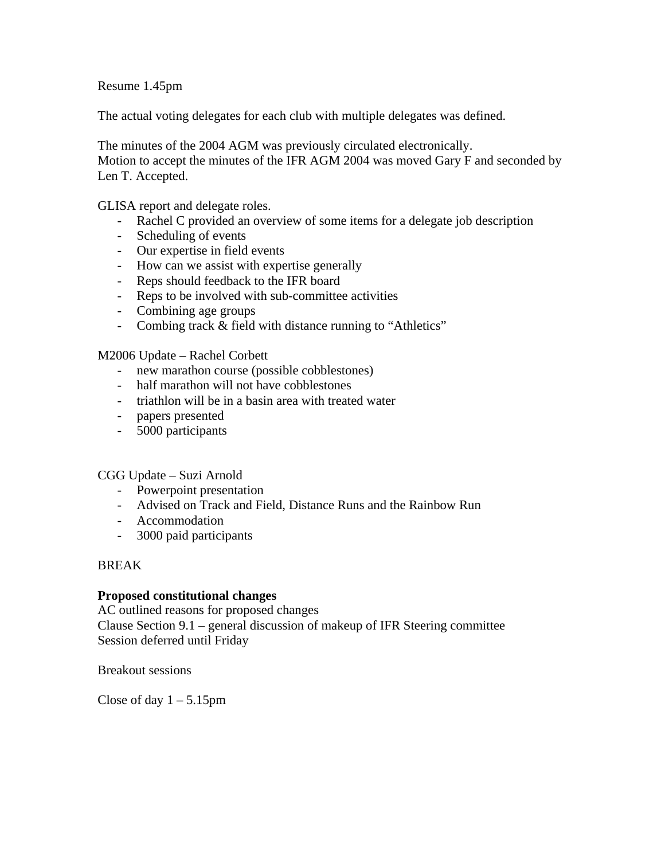Resume 1.45pm

The actual voting delegates for each club with multiple delegates was defined.

The minutes of the 2004 AGM was previously circulated electronically. Motion to accept the minutes of the IFR AGM 2004 was moved Gary F and seconded by Len T. Accepted.

GLISA report and delegate roles.

- Rachel C provided an overview of some items for a delegate job description
- Scheduling of events
- Our expertise in field events
- How can we assist with expertise generally
- Reps should feedback to the IFR board
- Reps to be involved with sub-committee activities
- Combining age groups
- Combing track & field with distance running to "Athletics"

M2006 Update – Rachel Corbett

- new marathon course (possible cobblestones)
- half marathon will not have cobblestones
- triathlon will be in a basin area with treated water
- papers presented
- 5000 participants

CGG Update – Suzi Arnold

- Powerpoint presentation
- Advised on Track and Field, Distance Runs and the Rainbow Run
- Accommodation
- 3000 paid participants

#### BREAK

#### **Proposed constitutional changes**

AC outlined reasons for proposed changes Clause Section 9.1 – general discussion of makeup of IFR Steering committee Session deferred until Friday

Breakout sessions

Close of day  $1 - 5.15$ pm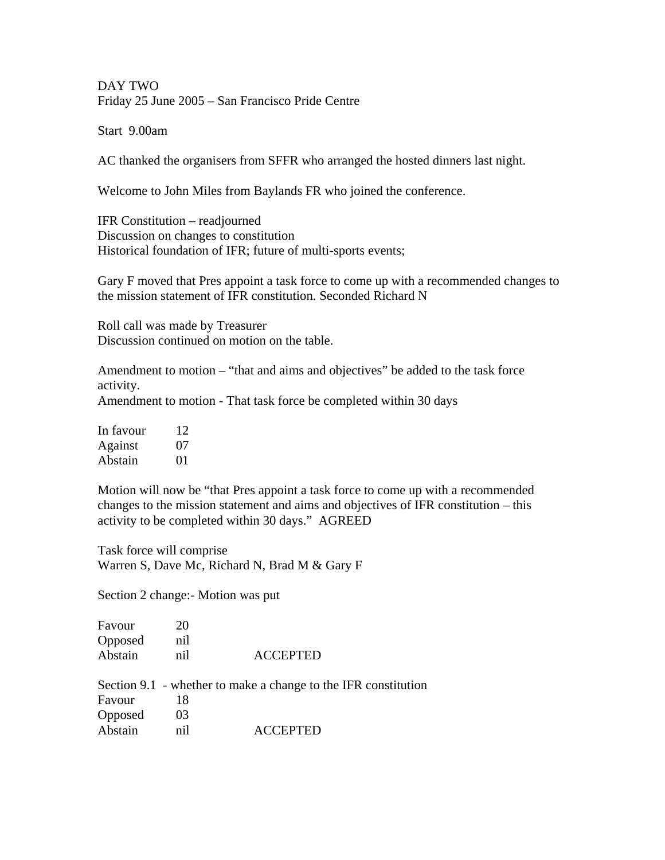DAY TWO Friday 25 June 2005 – San Francisco Pride Centre

Start 9.00am

AC thanked the organisers from SFFR who arranged the hosted dinners last night.

Welcome to John Miles from Baylands FR who joined the conference.

IFR Constitution – readjourned Discussion on changes to constitution Historical foundation of IFR; future of multi-sports events;

Gary F moved that Pres appoint a task force to come up with a recommended changes to the mission statement of IFR constitution. Seconded Richard N

Roll call was made by Treasurer Discussion continued on motion on the table.

Amendment to motion – "that and aims and objectives" be added to the task force activity.

Amendment to motion - That task force be completed within 30 days

| In favour | 12 |
|-----------|----|
| Against   | 07 |
| Abstain   | 01 |

Motion will now be "that Pres appoint a task force to come up with a recommended changes to the mission statement and aims and objectives of IFR constitution – this activity to be completed within 30 days." AGREED

Task force will comprise Warren S, Dave Mc, Richard N, Brad M & Gary F

Section 2 change:- Motion was put

| Favour  | 20  |                 |
|---------|-----|-----------------|
| Opposed | nil |                 |
| Abstain | nil | <b>ACCEPTED</b> |

Section 9.1 - whether to make a change to the IFR constitution Favour 18 Opposed 03 Abstain nil ACCEPTED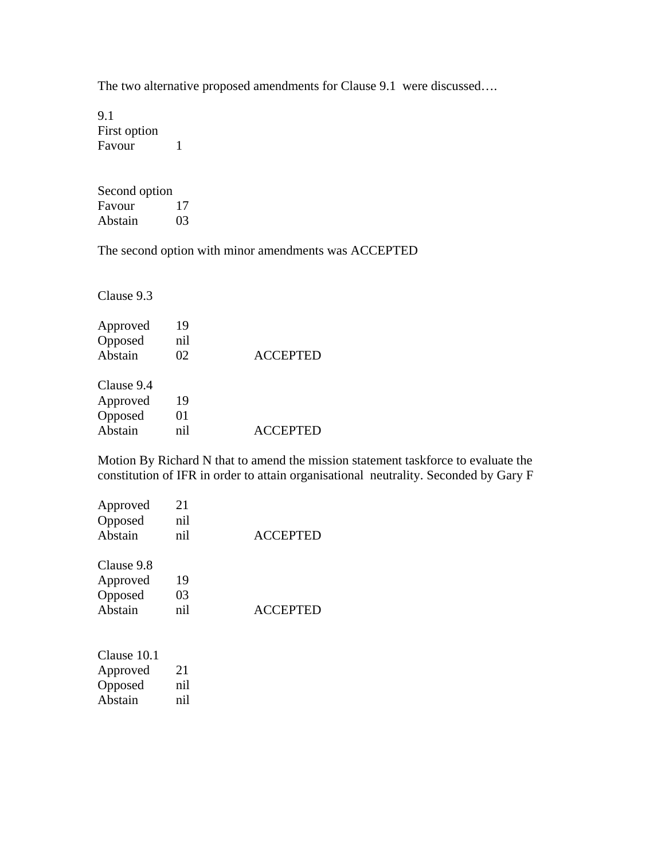The two alternative proposed amendments for Clause 9.1 were discussed….

9.1 First option Favour<sub>1</sub>

Second option Favour 17<br>Abstain 03 Abstain

The second option with minor amendments was ACCEPTED

Clause 9.3

| Approved   | 19  |                 |
|------------|-----|-----------------|
| Opposed    | nil |                 |
| Abstain    | 02  | <b>ACCEPTED</b> |
| Clause 9.4 |     |                 |
| Approved   | 19  |                 |
| Opposed    | 01  |                 |
| Abstain    | nil | <b>ACCEPTED</b> |

Motion By Richard N that to amend the mission statement taskforce to evaluate the constitution of IFR in order to attain organisational neutrality. Seconded by Gary F

| Approved               | 21  |                 |
|------------------------|-----|-----------------|
| Opposed                | nil |                 |
| Abstain                | nil | <b>ACCEPTED</b> |
| Clause 9.8             |     |                 |
| Approved               | 19  |                 |
| Opposed                | 03  |                 |
| Abstain                | nil | <b>ACCEPTED</b> |
| $C1_{\text{max}}$ 10.1 |     |                 |

| Clause 10.1 |     |
|-------------|-----|
| Approved    | 21  |
| Opposed     | nil |
| Abstain     | nil |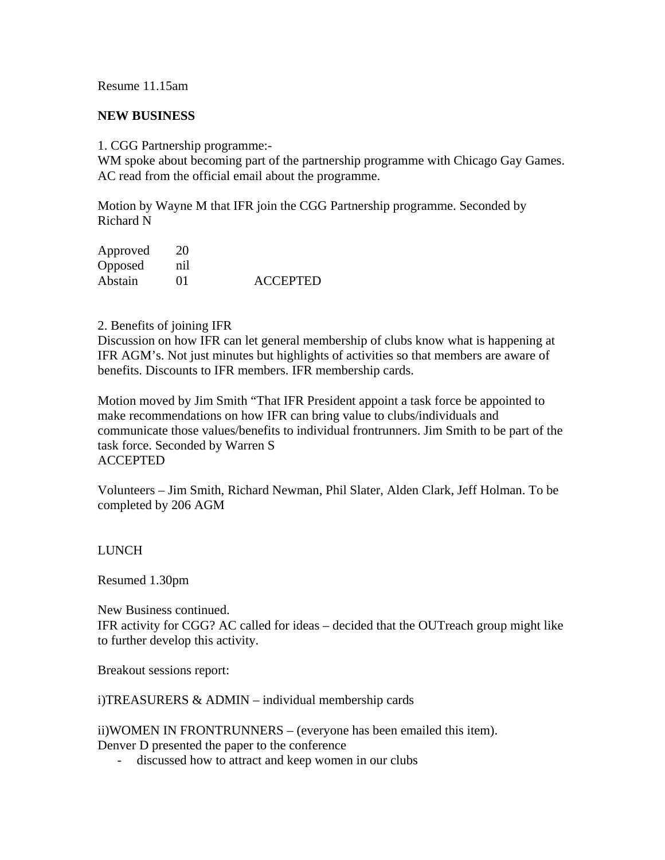## Resume 11.15am

#### **NEW BUSINESS**

1. CGG Partnership programme:-

WM spoke about becoming part of the partnership programme with Chicago Gay Games. AC read from the official email about the programme.

Motion by Wayne M that IFR join the CGG Partnership programme. Seconded by Richard N

| Approved | 20  |                 |
|----------|-----|-----------------|
| Opposed  | nil |                 |
| Abstain  | 01  | <b>ACCEPTED</b> |

#### 2. Benefits of joining IFR

Discussion on how IFR can let general membership of clubs know what is happening at IFR AGM's. Not just minutes but highlights of activities so that members are aware of benefits. Discounts to IFR members. IFR membership cards.

Motion moved by Jim Smith "That IFR President appoint a task force be appointed to make recommendations on how IFR can bring value to clubs/individuals and communicate those values/benefits to individual frontrunners. Jim Smith to be part of the task force. Seconded by Warren S ACCEPTED

Volunteers – Jim Smith, Richard Newman, Phil Slater, Alden Clark, Jeff Holman. To be completed by 206 AGM

## LUNCH

Resumed 1.30pm

New Business continued. IFR activity for CGG? AC called for ideas – decided that the OUTreach group might like to further develop this activity.

Breakout sessions report:

i)TREASURERS & ADMIN – individual membership cards

ii)WOMEN IN FRONTRUNNERS – (everyone has been emailed this item). Denver D presented the paper to the conference

- discussed how to attract and keep women in our clubs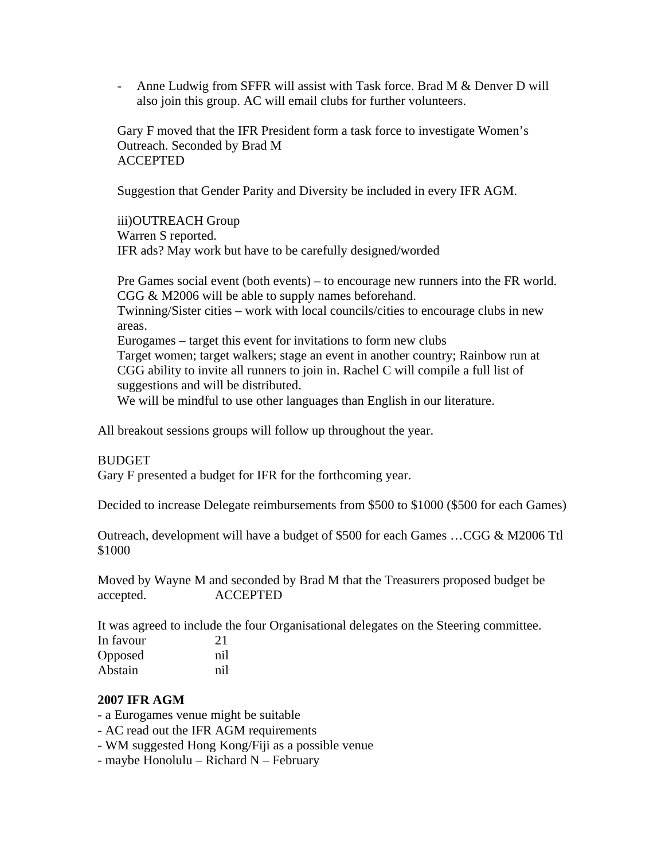- Anne Ludwig from SFFR will assist with Task force. Brad M & Denver D will also join this group. AC will email clubs for further volunteers.

Gary F moved that the IFR President form a task force to investigate Women's Outreach. Seconded by Brad M ACCEPTED

Suggestion that Gender Parity and Diversity be included in every IFR AGM.

iii)OUTREACH Group Warren S reported. IFR ads? May work but have to be carefully designed/worded

Pre Games social event (both events) – to encourage new runners into the FR world. CGG & M2006 will be able to supply names beforehand.

Twinning/Sister cities – work with local councils/cities to encourage clubs in new areas.

Eurogames – target this event for invitations to form new clubs Target women; target walkers; stage an event in another country; Rainbow run at CGG ability to invite all runners to join in. Rachel C will compile a full list of suggestions and will be distributed.

We will be mindful to use other languages than English in our literature.

All breakout sessions groups will follow up throughout the year.

#### BUDGET

Gary F presented a budget for IFR for the forthcoming year.

Decided to increase Delegate reimbursements from \$500 to \$1000 (\$500 for each Games)

Outreach, development will have a budget of \$500 for each Games …CGG & M2006 Ttl \$1000

Moved by Wayne M and seconded by Brad M that the Treasurers proposed budget be accepted. ACCEPTED

It was agreed to include the four Organisational delegates on the Steering committee. In favour 21 Opposed nil Abstain nil

#### **2007 IFR AGM**

- a Eurogames venue might be suitable
- AC read out the IFR AGM requirements
- WM suggested Hong Kong/Fiji as a possible venue
- maybe Honolulu Richard N February